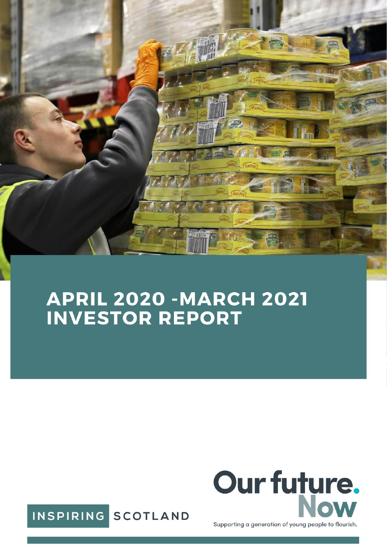

# **APRIL 2020 - MARCH 2021<br>INVESTOR REPORT**



Supporting a generation of young people to flourish.

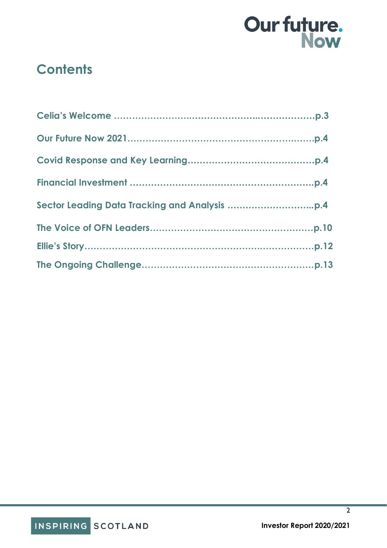

### **Contents**

 $\overline{2}$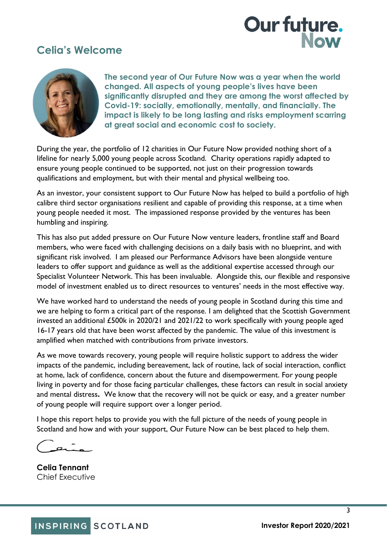### **Celia's Welcome**



**The second year of Our Future Now was a year when the world changed. All aspects of young people's lives have been significantly disrupted and they are among the worst affected by Covid-19: socially, emotionally, mentally, and financially. The impact is likely to be long lasting and risks employment scarring at great social and economic cost to society.**

During the year, the portfolio of 12 charities in Our Future Now provided nothing short of a lifeline for nearly 5,000 young people across Scotland. Charity operations rapidly adapted to ensure young people continued to be supported, not just on their progression towards qualifications and employment, but with their mental and physical wellbeing too.

As an investor, your consistent support to Our Future Now has helped to build a portfolio of high calibre third sector organisations resilient and capable of providing this response, at a time when young people needed it most. The impassioned response provided by the ventures has been humbling and inspiring.

This has also put added pressure on Our Future Now venture leaders, frontline staff and Board members, who were faced with challenging decisions on a daily basis with no blueprint, and with significant risk involved. I am pleased our Performance Advisors have been alongside venture leaders to offer support and guidance as well as the additional expertise accessed through our Specialist Volunteer Network. This has been invaluable. Alongside this, our flexible and responsive model of investment enabled us to direct resources to ventures' needs in the most effective way.

We have worked hard to understand the needs of young people in Scotland during this time and we are helping to form a critical part of the response. I am delighted that the Scottish Government invested an additional £500k in 2020/21 and 2021/22 to work specifically with young people aged 16-17 years old that have been worst affected by the pandemic. The value of this investment is amplified when matched with contributions from private investors.

As we move towards recovery, young people will require holistic support to address the wider impacts of the pandemic, including bereavement, lack of routine, lack of social interaction, conflict at home, lack of confidence, concern about the future and disempowerment. For young people living in poverty and for those facing particular challenges, these factors can result in social anxiety and mental distress**.** We know that the recovery will not be quick or easy, and a greater number of young people will require support over a longer period.

I hope this report helps to provide you with the full picture of the needs of young people in Scotland and how and with your support, Our Future Now can be best placed to help them.

**Celia Tennant**  Chief Executive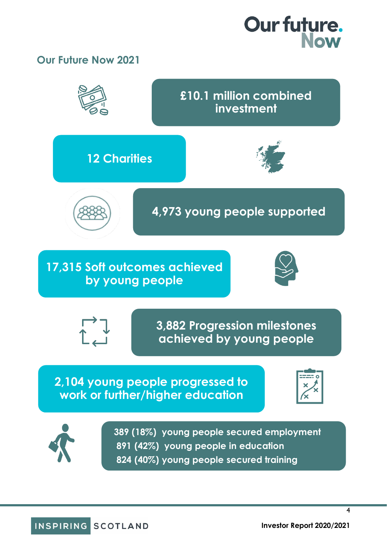### **Our Future Now 2021**



4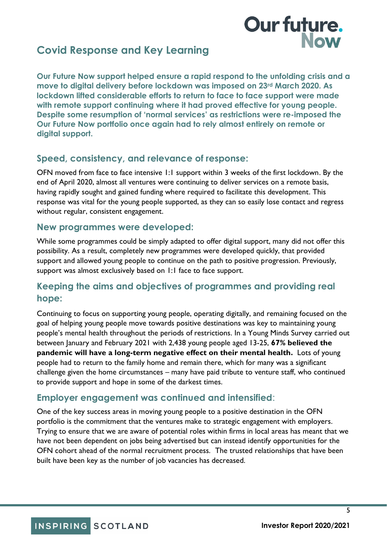### **Covid Response and Key Learning**

**Our Future Now support helped ensure a rapid respond to the unfolding crisis and a move to digital delivery before lockdown was imposed on 23rd March 2020. As lockdown lifted considerable efforts to return to face to face support were made with remote support continuing where it had proved effective for young people. Despite some resumption of 'normal services' as restrictions were re-imposed the Our Future Now portfolio once again had to rely almost entirely on remote or digital support.** 

### **Speed, consistency, and relevance of response:**

OFN moved from face to face intensive 1:1 support within 3 weeks of the first lockdown. By the end of April 2020, almost all ventures were continuing to deliver services on a remote basis, having rapidly sought and gained funding where required to facilitate this development. This response was vital for the young people supported, as they can so easily lose contact and regress without regular, consistent engagement.

#### **New programmes were developed:**

While some programmes could be simply adapted to offer digital support, many did not offer this possibility. As a result, completely new programmes were developed quickly, that provided support and allowed young people to continue on the path to positive progression. Previously, support was almost exclusively based on 1:1 face to face support.

### **Keeping the aims and objectives of programmes and providing real hope:**

Continuing to focus on supporting young people, operating digitally, and remaining focused on the goal of helping young people move towards positive destinations was key to maintaining young people's mental health throughout the periods of restrictions. In a Young Minds Survey carried out between January and February 2021 with 2,438 young people aged 13-25, **67% believed the pandemic will have a long-term negative effect on their mental health.** Lots of young people had to return to the family home and remain there, which for many was a significant challenge given the home circumstances – many have paid tribute to venture staff, who continued to provide support and hope in some of the darkest times.

### **Employer engagement was continued and intensified**:

One of the key success areas in moving young people to a positive destination in the OFN portfolio is the commitment that the ventures make to strategic engagement with employers. Trying to ensure that we are aware of potential roles within firms in local areas has meant that we have not been dependent on jobs being advertised but can instead identify opportunities for the OFN cohort ahead of the normal recruitment process. The trusted relationships that have been built have been key as the number of job vacancies has decreased.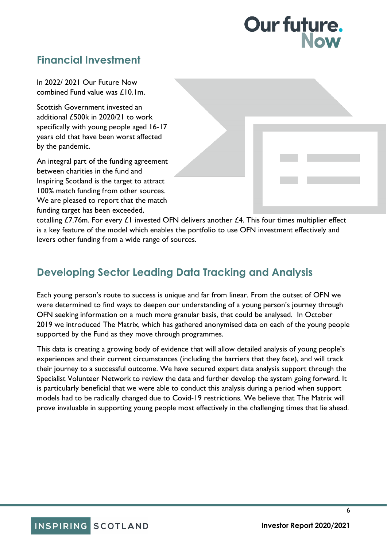## **Our future.**

### **Financial Investment**

In 2022/ 2021 Our Future Now combined Fund value was £10.1m.

Scottish Government invested an additional £500k in 2020/21 to work specifically with young people aged 16-17 years old that have been worst affected by the pandemic.

An integral part of the funding agreement between charities in the fund and Inspiring Scotland is the target to attract 100% match funding from other sources. We are pleased to report that the match funding target has been exceeded,

| a sa Tinggar |                           |  |
|--------------|---------------------------|--|
|              | <u> Listen van de Sta</u> |  |

totalling £7.76m. For every £1 invested OFN delivers another £4. This four times multiplier effect is a key feature of the model which enables the portfolio to use OFN investment effectively and levers other funding from a wide range of sources.

### **Developing Sector Leading Data Tracking and Analysis**

Each young person's route to success is unique and far from linear. From the outset of OFN we were determined to find ways to deepen our understanding of a young person's journey through OFN seeking information on a much more granular basis, that could be analysed. In October 2019 we introduced The Matrix, which has gathered anonymised data on each of the young people supported by the Fund as they move through programmes.

This data is creating a growing body of evidence that will allow detailed analysis of young people's experiences and their current circumstances (including the barriers that they face), and will track their journey to a successful outcome. We have secured expert data analysis support through the Specialist Volunteer Network to review the data and further develop the system going forward. It is particularly beneficial that we were able to conduct this analysis during a period when support models had to be radically changed due to Covid-19 restrictions. We believe that The Matrix will prove invaluable in supporting young people most effectively in the challenging times that lie ahead.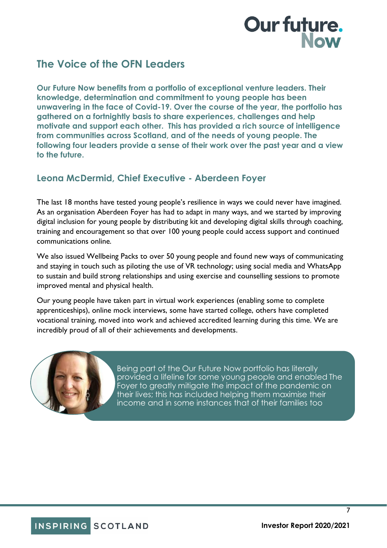## **Our future.**

### **The Voice of the OFN Leaders**

**Our Future Now benefits from a portfolio of exceptional venture leaders. Their knowledge, determination and commitment to young people has been unwavering in the face of Covid-19. Over the course of the year, the portfolio has gathered on a fortnightly basis to share experiences, challenges and help motivate and support each other. This has provided a rich source of intelligence from communities across Scotland, and of the needs of young people. The following four leaders provide a sense of their work over the past year and a view to the future.** 

### **Leona McDermid, Chief Executive - Aberdeen Foyer**

The last 18 months have tested young people's resilience in ways we could never have imagined. As an organisation Aberdeen Foyer has had to adapt in many ways, and we started by improving digital inclusion for young people by distributing kit and developing digital skills through coaching, training and encouragement so that over 100 young people could access support and continued communications online.

We also issued Wellbeing Packs to over 50 young people and found new ways of communicating and staying in touch such as piloting the use of VR technology; using social media and WhatsApp to sustain and build strong relationships and using exercise and counselling sessions to promote improved mental and physical health.

Our young people have taken part in virtual work experiences (enabling some to complete apprenticeships), online mock interviews, some have started college, others have completed vocational training, moved into work and achieved accredited learning during this time. We are incredibly proud of all of their achievements and developments.



Being part of the Our Future Now portfolio has literally provided a lifeline for some young people and enabled The Foyer to greatly mitigate the impact of the pandemic on their lives; this has included helping them maximise their income and in some instances that of their families too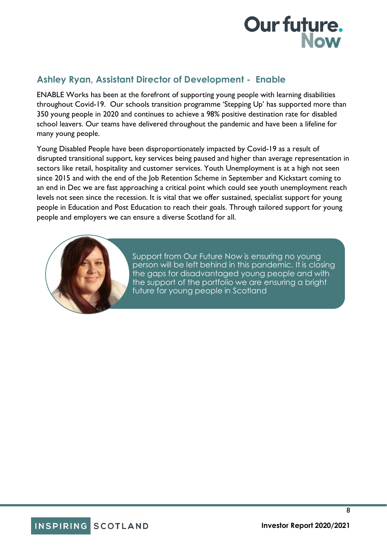### **Ashley Ryan, Assistant Director of Development - Enable**

ENABLE Works has been at the forefront of supporting young people with learning disabilities throughout Covid-19. Our schools transition programme 'Stepping Up' has supported more than 350 young people in 2020 and continues to achieve a 98% positive destination rate for disabled school leavers. Our teams have delivered throughout the pandemic and have been a lifeline for many young people.

Young Disabled People have been disproportionately impacted by Covid-19 as a result of disrupted transitional support, key services being paused and higher than average representation in sectors like retail, hospitality and customer services. Youth Unemployment is at a high not seen since 2015 and with the end of the Job Retention Scheme in September and Kickstart coming to an end in Dec we are fast approaching a critical point which could see youth unemployment reach levels not seen since the recession. It is vital that we offer sustained, specialist support for young people in Education and Post Education to reach their goals. Through tailored support for young people and employers we can ensure a diverse Scotland for all.



Support from Our Future Now is ensuring no young person will be left behind in this pandemic. It is closing the gaps for disadvantaged young people and with the support of the portfolio we are ensuring a bright future for young people in Scotland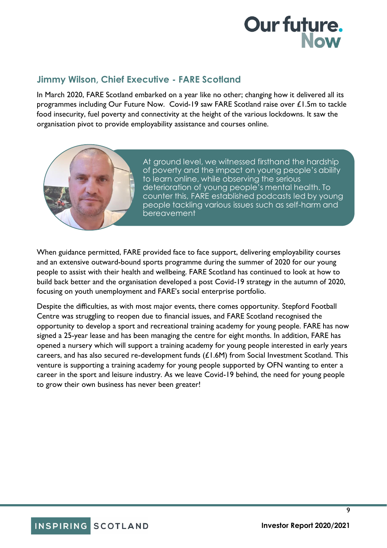### **Jimmy Wilson, Chief Executive - FARE Scotland**

In March 2020, FARE Scotland embarked on a year like no other; changing how it delivered all its programmes including Our Future Now. Covid-19 saw FARE Scotland raise over £1.5m to tackle food insecurity, fuel poverty and connectivity at the height of the various lockdowns. It saw the organisation pivot to provide employability assistance and courses online.



At ground level, we witnessed firsthand the hardship of poverty and the impact on young people's ability to learn online, while observing the serious deterioration of young people's mental health. To counter this, FARE established podcasts led by young people tackling various issues such as self-harm and bereavement

When guidance permitted, FARE provided face to face support, delivering employability courses and an extensive outward-bound sports programme during the summer of 2020 for our young people to assist with their health and wellbeing. FARE Scotland has continued to look at how to build back better and the organisation developed a post Covid-19 strategy in the autumn of 2020, focusing on youth unemployment and FARE's social enterprise portfolio.

Despite the difficulties, as with most major events, there comes opportunity. Stepford Football Centre was struggling to reopen due to financial issues, and FARE Scotland recognised the opportunity to develop a sport and recreational training academy for young people. FARE has now signed a 25-year lease and has been managing the centre for eight months. In addition, FARE has opened a nursery which will support a training academy for young people interested in early years careers, and has also secured re-development funds (£1.6M) from Social Investment Scotland. This venture is supporting a training academy for young people supported by OFN wanting to enter a career in the sport and leisure industry. As we leave Covid-19 behind, the need for young people to grow their own business has never been greater!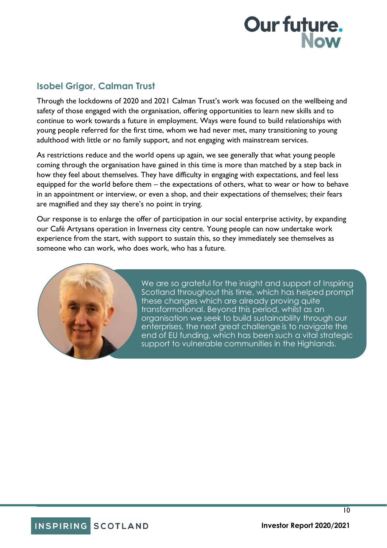### **Isobel Grigor, Calman Trust**

Through the lockdowns of 2020 and 2021 Calman Trust's work was focused on the wellbeing and safety of those engaged with the organisation, offering opportunities to learn new skills and to continue to work towards a future in employment. Ways were found to build relationships with young people referred for the first time, whom we had never met, many transitioning to young adulthood with little or no family support, and not engaging with mainstream services.

As restrictions reduce and the world opens up again, we see generally that what young people coming through the organisation have gained in this time is more than matched by a step back in how they feel about themselves. They have difficulty in engaging with expectations, and feel less equipped for the world before them – the expectations of others, what to wear or how to behave in an appointment or interview, or even a shop, and their expectations of themselves; their fears are magnified and they say there's no point in trying.

Our response is to enlarge the offer of participation in our social enterprise activity, by expanding our Café Artysans operation in Inverness city centre. Young people can now undertake work experience from the start, with support to sustain this, so they immediately see themselves as someone who can work, who does work, who has a future.



We are so grateful for the insight and support of Inspiring Scotland throughout this time, which has helped prompt these changes which are already proving quite transformational. Beyond this period, whilst as an organisation we seek to build sustainability through our enterprises, the next great challenge is to navigate the end of EU funding, which has been such a vital strategic support to vulnerable communities in the Highlands.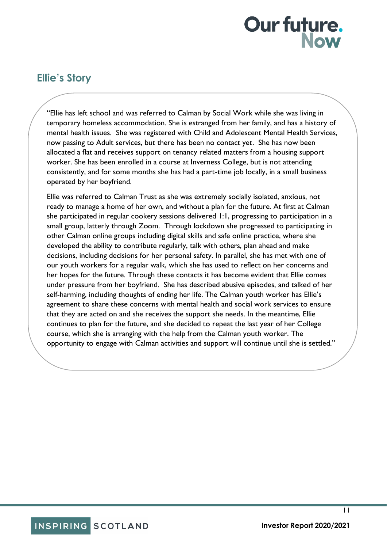### **Ellie's Story**

"Ellie has left school and was referred to Calman by Social Work while she was living in temporary homeless accommodation. She is estranged from her family, and has a history of mental health issues. She was registered with Child and Adolescent Mental Health Services, now passing to Adult services, but there has been no contact yet. She has now been allocated a flat and receives support on tenancy related matters from a housing support worker. She has been enrolled in a course at Inverness College, but is not attending consistently, and for some months she has had a part-time job locally, in a small business operated by her boyfriend.

Ellie was referred to Calman Trust as she was extremely socially isolated, anxious, not ready to manage a home of her own, and without a plan for the future. At first at Calman she participated in regular cookery sessions delivered 1:1, progressing to participation in a small group, latterly through Zoom. Through lockdown she progressed to participating in other Calman online groups including digital skills and safe online practice, where she developed the ability to contribute regularly, talk with others, plan ahead and make decisions, including decisions for her personal safety. In parallel, she has met with one of our youth workers for a regular walk, which she has used to reflect on her concerns and her hopes for the future. Through these contacts it has become evident that Ellie comes under pressure from her boyfriend. She has described abusive episodes, and talked of her self-harming, including thoughts of ending her life. The Calman youth worker has Ellie's agreement to share these concerns with mental health and social work services to ensure that they are acted on and she receives the support she needs. In the meantime, Ellie continues to plan for the future, and she decided to repeat the last year of her College course, which she is arranging with the help from the Calman youth worker. The opportunity to engage with Calman activities and support will continue until she is settled."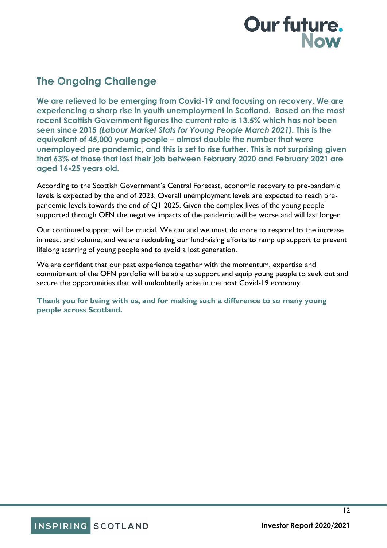### **The Ongoing Challenge**

**We are relieved to be emerging from Covid-19 and focusing on recovery. We are experiencing a sharp rise in youth unemployment in Scotland. Based on the most recent Scottish Government figures the current rate is 13.5% which has not been seen since 2015** *(Labour Market Stats for Young People March 2021).* **This is the equivalent of 45,000 young people – almost double the number that were unemployed pre pandemic, and this is set to rise further. This is not surprising given that 63% of those that lost their job between February 2020 and February 2021 are aged 16-25 years old.** 

According to the Scottish Government's Central Forecast, economic recovery to pre-pandemic levels is expected by the end of 2023. Overall unemployment levels are expected to reach prepandemic levels towards the end of Q1 2025. Given the complex lives of the young people supported through OFN the negative impacts of the pandemic will be worse and will last longer.

Our continued support will be crucial. We can and we must do more to respond to the increase in need, and volume, and we are redoubling our fundraising efforts to ramp up support to prevent lifelong scarring of young people and to avoid a lost generation.

We are confident that our past experience together with the momentum, expertise and commitment of the OFN portfolio will be able to support and equip young people to seek out and secure the opportunities that will undoubtedly arise in the post Covid-19 economy.

**Thank you for being with us, and for making such a difference to so many young people across Scotland.**